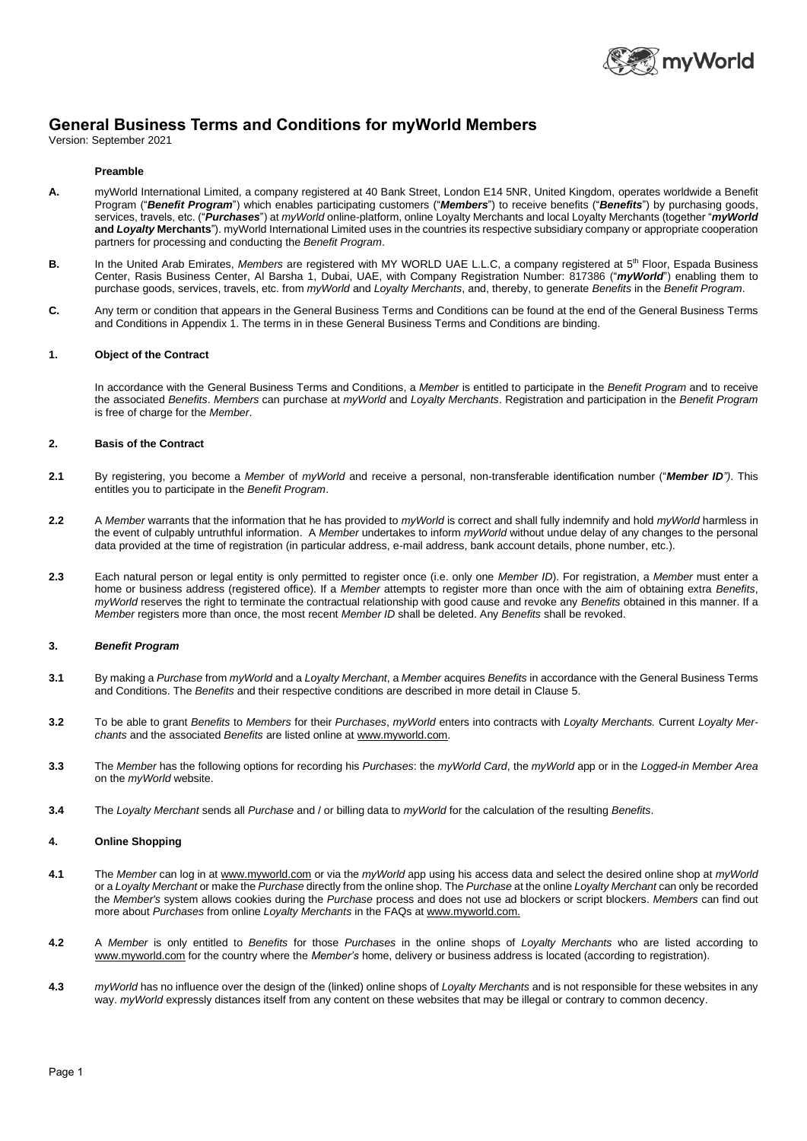

# **General Business Terms and Conditions for myWorld Members**

Version: September 2021

## **Preamble**

- **A.** myWorld International Limited, a company registered at 40 Bank Street, London E14 5NR, United Kingdom, operates worldwide a Benefit Program ("*Benefit Program*") which enables participating customers ("*Members*") to receive benefits ("*Benefits*") by purchasing goods, services, travels, etc. ("*Purchases*") at *myWorld* online-platform, online Loyalty Merchants and local Loyalty Merchants (together "*myWorld* **and** *Loyalty* **Merchants**"). myWorld International Limited uses in the countries its respective subsidiary company or appropriate cooperation partners for processing and conducting the *Benefit Program*.
- B. In the United Arab Emirates, Members are registered with MY WORLD UAE L.L.C, a company registered at 5<sup>th</sup> Floor, Espada Business Center, Rasis Business Center, Al Barsha 1, Dubai, UAE, with Company Registration Number: 817386 ("*myWorld*") enabling them to purchase goods, services, travels, etc. from *myWorld* and *Loyalty Merchants*, and, thereby, to generate *Benefits* in the *Benefit Program*.
- **C.** Any term or condition that appears in the General Business Terms and Conditions can be found at the end of the General Business Terms and Conditions in Appendix 1. The terms in in these General Business Terms and Conditions are binding.

# **1. Object of the Contract**

In accordance with the General Business Terms and Conditions, a *Member* is entitled to participate in the *Benefit Program* and to receive the associated *Benefits*. *Members* can purchase at *myWorld* and *Loyalty Merchants*. Registration and participation in the *Benefit Program* is free of charge for the *Member*.

## **2. Basis of the Contract**

- **2.1** By registering, you become a *Member* of *myWorld* and receive a personal, non-transferable identification number ("*Member ID")*. This entitles you to participate in the *Benefit Program*.
- **2.2** A *Member* warrants that the information that he has provided to *myWorld* is correct and shall fully indemnify and hold *myWorld* harmless in the event of culpably untruthful information. A *Member* undertakes to inform *myWorld* without undue delay of any changes to the personal data provided at the time of registration (in particular address, e-mail address, bank account details, phone number, etc.).
- **2.3** Each natural person or legal entity is only permitted to register once (i.e. only one *Member ID*). For registration, a *Member* must enter a home or business address (registered office). If a *Member* attempts to register more than once with the aim of obtaining extra *Benefits*, *myWorld* reserves the right to terminate the contractual relationship with good cause and revoke any *Benefits* obtained in this manner. If a *Member* registers more than once, the most recent *Member ID* shall be deleted. Any *Benefits* shall be revoked.

#### **3.** *Benefit Program*

- **3.1** By making a *Purchase* from *myWorld* and a *Loyalty Merchant*, a *Member* acquires *Benefits* in accordance with the General Business Terms and Conditions. The *Benefits* and their respective conditions are described in more detail in Clause 5.
- **3.2** To be able to grant *Benefits* to *Members* for their *Purchases*, *myWorld* enters into contracts with *Loyalty Merchants.* Current *Loyalty Merchants* and the associated *Benefits* are listed online at www.myworld.com.
- **3.3** The *Member* has the following options for recording his *Purchases*: the *myWorld Card*, the *myWorld* app or in the *Logged-in Member Area* on the *myWorld* website.
- **3.4** The *Loyalty Merchant* sends all *Purchase* and / or billing data to *myWorld* for the calculation of the resulting *Benefits*.

#### **4. Online Shopping**

- **4.1** The *Member* can log in at www.myworld.com or via the *myWorld* app using his access data and select the desired online shop at *myWorld* or a *Loyalty Merchant* or make the *Purchase* directly from the online shop. The *Purchase* at the online *Loyalty Merchant* can only be recorded the *Member's* system allows cookies during the *Purchase* process and does not use ad blockers or script blockers. *Members* can find out more about *Purchases* from online *Loyalty Merchants* in the FAQs at www.myworld.com.
- **4.2** A *Member* is only entitled to *Benefits* for those *Purchases* in the online shops of *Loyalty Merchants* who are listed according to www.myworld.com for the country where the *Member's* home, delivery or business address is located (according to registration).
- **4.3** *myWorld* has no influence over the design of the (linked) online shops of *Loyalty Merchants* and is not responsible for these websites in any way. *myWorld* expressly distances itself from any content on these websites that may be illegal or contrary to common decency.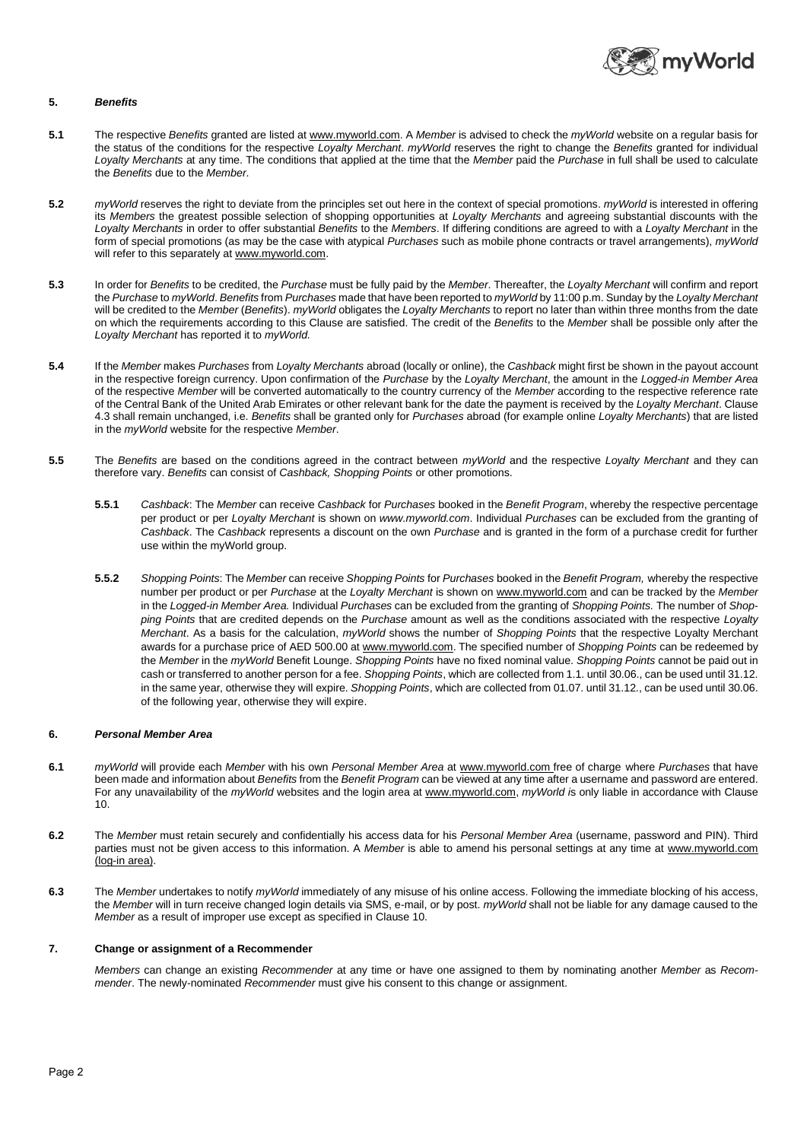

# **5.** *Benefits*

- **5.1** The respective *Benefits* granted are listed at www.myworld.com. A *Member* is advised to check the *myWorld* website on a regular basis for the status of the conditions for the respective *Loyalty Merchant*. *myWorld* reserves the right to change the *Benefits* granted for individual *Loyalty Merchants* at any time. The conditions that applied at the time that the *Member* paid the *Purchase* in full shall be used to calculate the *Benefits* due to the *Member*.
- **5.2** *myWorld* reserves the right to deviate from the principles set out here in the context of special promotions. *myWorld* is interested in offering its *Members* the greatest possible selection of shopping opportunities at *Loyalty Merchants* and agreeing substantial discounts with the *Loyalty Merchants* in order to offer substantial *Benefits* to the *Members*. If differing conditions are agreed to with a *Loyalty Merchant* in the form of special promotions (as may be the case with atypical *Purchases* such as mobile phone contracts or travel arrangements), *myWorld* will refer to this separately at www.myworld.com.
- **5.3** In order for *Benefits* to be credited, the *Purchase* must be fully paid by the *Member*. Thereafter, the *Loyalty Merchant* will confirm and report the *Purchase* to *myWorld*. *Benefits* from *Purchases* made that have been reported to *myWorld* by 11:00 p.m. Sunday by the *Loyalty Merchant* will be credited to the *Member* (*Benefits*). *myWorld* obligates the *Loyalty Merchants* to report no later than within three months from the date on which the requirements according to this Clause are satisfied. The credit of the *Benefits* to the *Member* shall be possible only after the *Loyalty Merchant* has reported it to *myWorld.*
- **5.4** If the *Member* makes *Purchases* from *Loyalty Merchants* abroad (locally or online), the *Cashback* might first be shown in the payout account in the respective foreign currency. Upon confirmation of the *Purchase* by the *Loyalty Merchant*, the amount in the *Logged-in Member Area*  of the respective *Member* will be converted automatically to the country currency of the *Member* according to the respective reference rate of the Central Bank of the United Arab Emirates or other relevant bank for the date the payment is received by the *Loyalty Merchant*. Clause 4.3 shall remain unchanged, i.e. *Benefits* shall be granted only for *Purchases* abroad (for example online *Loyalty Merchants*) that are listed in the *myWorld* website for the respective *Member*.
- **5.5** The *Benefits* are based on the conditions agreed in the contract between *myWorld* and the respective *Loyalty Merchant* and they can therefore vary. *Benefits* can consist of *Cashback, Shopping Points* or other promotions.
	- **5.5.1** *Cashback*: The *Member* can receive *Cashback* for *Purchases* booked in the *Benefit Program*, whereby the respective percentage per product or per *Loyalty Merchant* is shown on *www.myworld.com*. Individual *Purchases* can be excluded from the granting of *Cashback*. The *Cashback* represents a discount on the own *Purchase* and is granted in the form of a purchase credit for further use within the myWorld group.
	- **5.5.2** *Shopping Points*: The *Member* can receive *Shopping Points* for *Purchases* booked in the *Benefit Program,* whereby the respective number per product or per *Purchase* at the *Loyalty Merchant* is shown on www.myworld.com and can be tracked by the *Member* in the *Logged-in Member Area.* Individual *Purchases* can be excluded from the granting of *Shopping Points.* The number of *Shopping Points* that are credited depends on the *Purchase* amount as well as the conditions associated with the respective *Loyalty Merchant*. As a basis for the calculation, *myWorld* shows the number of *Shopping Points* that the respective Loyalty Merchant awards for a purchase price of AED 500.00 at www.myworld.com. The specified number of *Shopping Points* can be redeemed by the *Member* in the *myWorld* Benefit Lounge. *Shopping Points* have no fixed nominal value. *Shopping Points* cannot be paid out in cash or transferred to another person for a fee. *Shopping Points*, which are collected from 1.1. until 30.06., can be used until 31.12. in the same year, otherwise they will expire. *Shopping Points*, which are collected from 01.07. until 31.12., can be used until 30.06. of the following year, otherwise they will expire.

# **6.** *Personal Member Area*

- **6.1** *myWorld* will provide each *Member* with his own *Personal Member Area* at www.myworld.com free of charge where *Purchases* that have been made and information about *Benefits* from the *Benefit Program* can be viewed at any time after a username and password are entered. For any unavailability of the *myWorld* websites and the login area at www.myworld.com, *myWorld i*s only liable in accordance with Clause 10.
- **6.2** The *Member* must retain securely and confidentially his access data for his *Personal Member Area* (username, password and PIN). Third parties must not be given access to this information. A *Member* is able to amend his personal settings at any time at www.myworld.com (log-in area).
- **6.3** The *Member* undertakes to notify *myWorld* immediately of any misuse of his online access. Following the immediate blocking of his access, the *Member* will in turn receive changed login details via SMS, e-mail, or by post. *myWorld* shall not be liable for any damage caused to the *Member* as a result of improper use except as specified in Clause 10.

# **7. Change or assignment of a Recommender**

*Members* can change an existing *Recommender* at any time or have one assigned to them by nominating another *Member* as *Recommender*. The newly-nominated *Recommender* must give his consent to this change or assignment.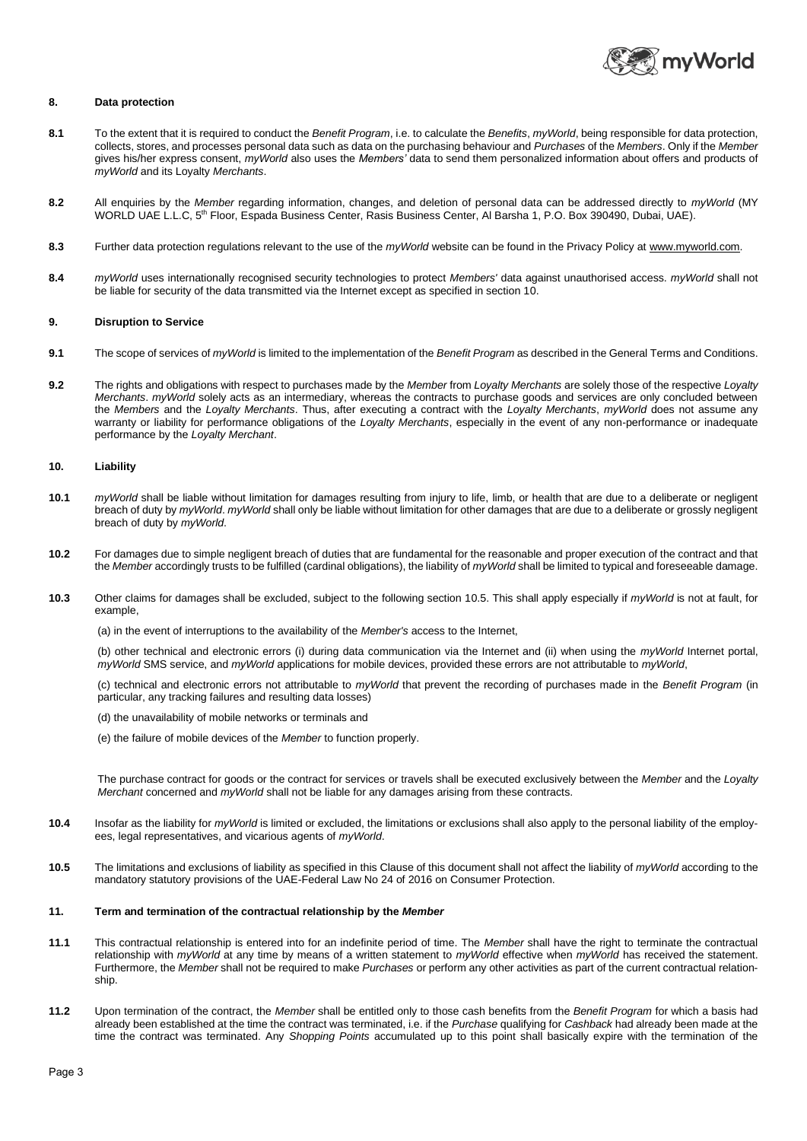

## **8. Data protection**

- **8.1** To the extent that it is required to conduct the *Benefit Program*, i.e. to calculate the *Benefits*, *myWorld*, being responsible for data protection, collects, stores, and processes personal data such as data on the purchasing behaviour and *Purchases* of the *Members*. Only if the *Member* gives his/her express consent, *myWorld* also uses the *Members'* data to send them personalized information about offers and products of *myWorld* and its Loyalty *Merchants*.
- **8.2** All enquiries by the *Member* regarding information, changes, and deletion of personal data can be addressed directly to *myWorld* (MY WORLD UAE L.L.C, 5<sup>th</sup> Floor, Espada Business Center, Rasis Business Center, Al Barsha 1, P.O. Box 390490, Dubai, UAE).
- **8.3** Further data protection regulations relevant to the use of the *myWorld* website can be found in the Privacy Policy at www.myworld.com.
- **8.4** *myWorld* uses internationally recognised security technologies to protect *Members'* data against unauthorised access. *myWorld* shall not be liable for security of the data transmitted via the Internet except as specified in section 10.

#### **9. Disruption to Service**

- **9.1** The scope of services of *myWorld* is limited to the implementation of the *Benefit Program* as described in the General Terms and Conditions.
- **9.2** The rights and obligations with respect to purchases made by the *Member* from *Loyalty Merchants* are solely those of the respective *Loyalty Merchants*. *myWorld* solely acts as an intermediary, whereas the contracts to purchase goods and services are only concluded between the *Members* and the *Loyalty Merchants*. Thus, after executing a contract with the *Loyalty Merchants*, *myWorld* does not assume any warranty or liability for performance obligations of the *Loyalty Merchants*, especially in the event of any non-performance or inadequate performance by the *Loyalty Merchant*.

#### **10. Liability**

- **10.1** *myWorld* shall be liable without limitation for damages resulting from injury to life, limb, or health that are due to a deliberate or negligent breach of duty by *myWorld*. *myWorld* shall only be liable without limitation for other damages that are due to a deliberate or grossly negligent breach of duty by *myWorld*.
- **10.2** For damages due to simple negligent breach of duties that are fundamental for the reasonable and proper execution of the contract and that the *Member* accordingly trusts to be fulfilled (cardinal obligations), the liability of *myWorld* shall be limited to typical and foreseeable damage.
- **10.3** Other claims for damages shall be excluded, subject to the following section 10.5. This shall apply especially if *myWorld* is not at fault, for example,

(a) in the event of interruptions to the availability of the *Member's* access to the Internet,

(b) other technical and electronic errors (i) during data communication via the Internet and (ii) when using the *myWorld* Internet portal, *myWorld* SMS service, and *myWorld* applications for mobile devices, provided these errors are not attributable to *myWorld*,

(c) technical and electronic errors not attributable to *myWorld* that prevent the recording of purchases made in the *Benefit Program* (in particular, any tracking failures and resulting data losses)

- (d) the unavailability of mobile networks or terminals and
- (e) the failure of mobile devices of the *Member* to function properly.

The purchase contract for goods or the contract for services or travels shall be executed exclusively between the *Member* and the *Loyalty Merchant* concerned and *myWorld* shall not be liable for any damages arising from these contracts.

- **10.4** Insofar as the liability for *myWorld* is limited or excluded, the limitations or exclusions shall also apply to the personal liability of the employees, legal representatives, and vicarious agents of *myWorld*.
- **10.5** The limitations and exclusions of liability as specified in this Clause of this document shall not affect the liability of *myWorld* according to the mandatory statutory provisions of the UAE-Federal Law No 24 of 2016 on Consumer Protection.

## **11. Term and termination of the contractual relationship by the** *Member*

- **11.1** This contractual relationship is entered into for an indefinite period of time. The *Member* shall have the right to terminate the contractual relationship with *myWorld* at any time by means of a written statement to *myWorld* effective when *myWorld* has received the statement. Furthermore, the *Member* shall not be required to make *Purchases* or perform any other activities as part of the current contractual relationship.
- **11.2** Upon termination of the contract, the *Member* shall be entitled only to those cash benefits from the *Benefit Program* for which a basis had already been established at the time the contract was terminated, i.e. if the *Purchase* qualifying for *Cashback* had already been made at the time the contract was terminated. Any *Shopping Points* accumulated up to this point shall basically expire with the termination of the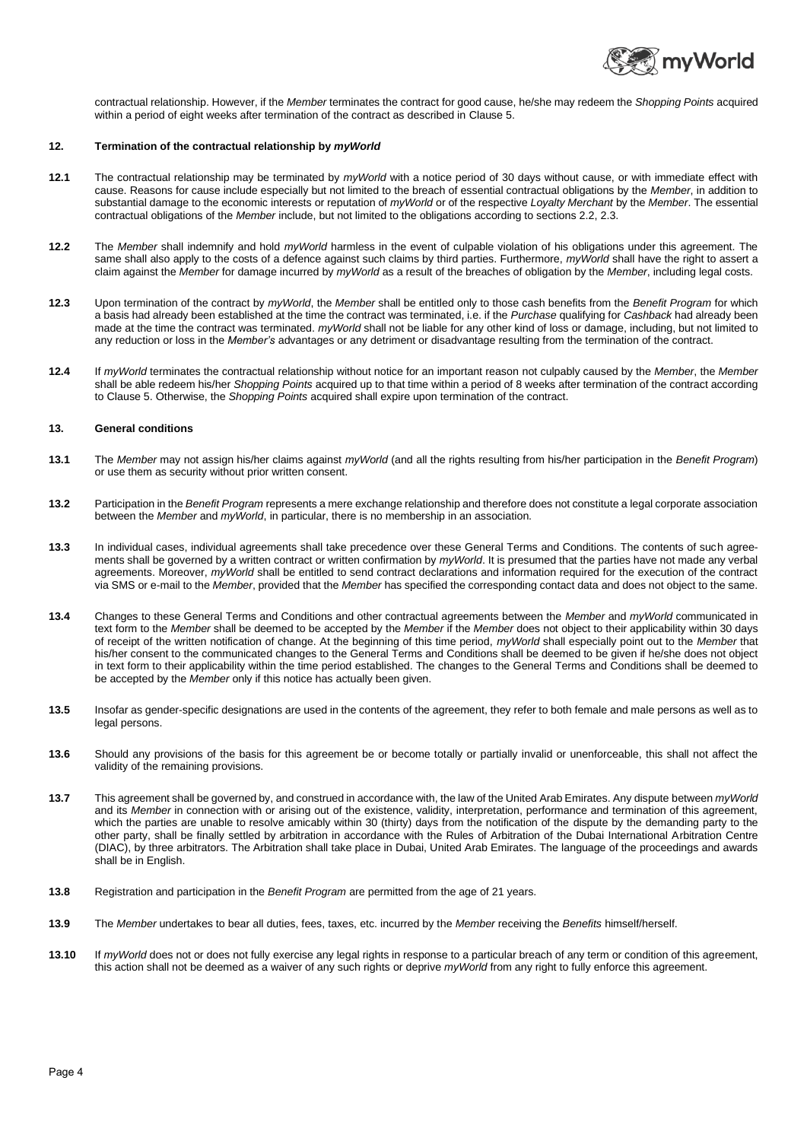

contractual relationship. However, if the *Member* terminates the contract for good cause, he/she may redeem the *Shopping Points* acquired within a period of eight weeks after termination of the contract as described in Clause 5.

### **12. Termination of the contractual relationship by** *myWorld*

- **12.1** The contractual relationship may be terminated by *myWorld* with a notice period of 30 days without cause, or with immediate effect with cause. Reasons for cause include especially but not limited to the breach of essential contractual obligations by the *Member*, in addition to substantial damage to the economic interests or reputation of *myWorld* or of the respective *Loyalty Merchant* by the *Member*. The essential contractual obligations of the *Member* include, but not limited to the obligations according to sections 2.2, 2.3.
- **12.2** The *Member* shall indemnify and hold *myWorld* harmless in the event of culpable violation of his obligations under this agreement. The same shall also apply to the costs of a defence against such claims by third parties. Furthermore, *myWorld* shall have the right to assert a claim against the *Member* for damage incurred by *myWorld* as a result of the breaches of obligation by the *Member*, including legal costs.
- **12.3** Upon termination of the contract by *myWorld*, the *Member* shall be entitled only to those cash benefits from the *Benefit Program* for which a basis had already been established at the time the contract was terminated, i.e. if the *Purchase* qualifying for *Cashback* had already been made at the time the contract was terminated. *myWorld* shall not be liable for any other kind of loss or damage, including, but not limited to any reduction or loss in the *Member's* advantages or any detriment or disadvantage resulting from the termination of the contract.
- **12.4** If *myWorld* terminates the contractual relationship without notice for an important reason not culpably caused by the *Member*, the *Member* shall be able redeem his/her *Shopping Points* acquired up to that time within a period of 8 weeks after termination of the contract according to Clause 5. Otherwise, the *Shopping Points* acquired shall expire upon termination of the contract.

# **13. General conditions**

- **13.1** The *Member* may not assign his/her claims against *myWorld* (and all the rights resulting from his/her participation in the *Benefit Program*) or use them as security without prior written consent.
- **13.2** Participation in the *Benefit Program* represents a mere exchange relationship and therefore does not constitute a legal corporate association between the *Member* and *myWorld*, in particular, there is no membership in an association.
- **13.3** In individual cases, individual agreements shall take precedence over these General Terms and Conditions. The contents of such agreements shall be governed by a written contract or written confirmation by *myWorld*. It is presumed that the parties have not made any verbal agreements. Moreover, *myWorld* shall be entitled to send contract declarations and information required for the execution of the contract via SMS or e-mail to the *Member*, provided that the *Member* has specified the corresponding contact data and does not object to the same.
- **13.4** Changes to these General Terms and Conditions and other contractual agreements between the *Member* and *myWorld* communicated in text form to the *Member* shall be deemed to be accepted by the *Member* if the *Member* does not object to their applicability within 30 days of receipt of the written notification of change. At the beginning of this time period, *myWorld* shall especially point out to the *Member* that his/her consent to the communicated changes to the General Terms and Conditions shall be deemed to be given if he/she does not object in text form to their applicability within the time period established. The changes to the General Terms and Conditions shall be deemed to be accepted by the *Member* only if this notice has actually been given.
- **13.5** Insofar as gender-specific designations are used in the contents of the agreement, they refer to both female and male persons as well as to legal persons.
- 13.6 Should any provisions of the basis for this agreement be or become totally or partially invalid or unenforceable, this shall not affect the validity of the remaining provisions.
- **13.7** This agreement shall be governed by, and construed in accordance with, the law of the United Arab Emirates. Any dispute between *myWorld* and its *Member* in connection with or arising out of the existence, validity, interpretation, performance and termination of this agreement, which the parties are unable to resolve amicably within 30 (thirty) days from the notification of the dispute by the demanding party to the other party, shall be finally settled by arbitration in accordance with the Rules of Arbitration of the Dubai International Arbitration Centre (DIAC), by three arbitrators. The Arbitration shall take place in Dubai, United Arab Emirates. The language of the proceedings and awards shall be in English.
- **13.8** Registration and participation in the *Benefit Program* are permitted from the age of 21 years.
- **13.9** The *Member* undertakes to bear all duties, fees, taxes, etc. incurred by the *Member* receiving the *Benefits* himself/herself.
- **13.10** If *myWorld* does not or does not fully exercise any legal rights in response to a particular breach of any term or condition of this agreement, this action shall not be deemed as a waiver of any such rights or deprive *myWorld* from any right to fully enforce this agreement.